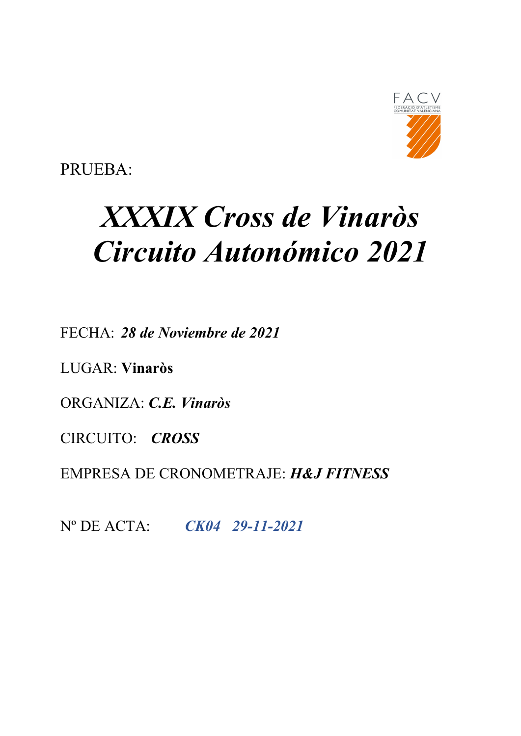

PRUEBA:

# XXXIX Cross de Vinaròs Circuito Autonómico 2021

FECHA: 28 de Noviembre de 2021

LUGAR: Vinaròs

ORGANIZA: C.E. Vinaròs

CIRCUITO: CROSS

EMPRESA DE CRONOMETRAJE: H&J FITNESS

Nº DE ACTA: CK04 29-11-2021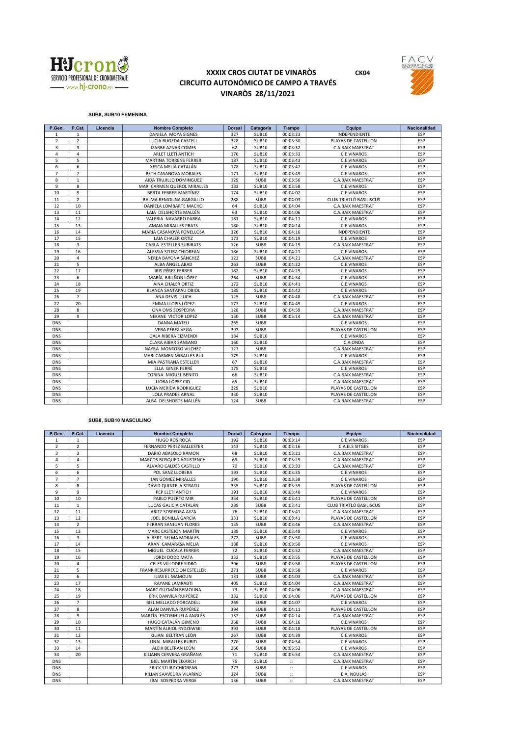

## XXXIX CROS CIUTAT DE VINARÒS CK04 CIRCUITO AUTONÓMICO DE CAMPO A TRAVÉS VINARÒS 28/11/2021





## SUB8, SUB10 FEMENINA

| P.Gen.         | P.Cat.         | Licencia | <b>Nombre Completo</b>       | <b>Dorsal</b> | Categoría    | <b>Tiempo</b> | Equipo                  | <b>Nacionalidad</b> |
|----------------|----------------|----------|------------------------------|---------------|--------------|---------------|-------------------------|---------------------|
| $\mathbf{1}$   | $\mathbf{1}$   |          | DANIELA MOYA SIGNES          | 327           | <b>SUB10</b> | 00:03:23      | INDEPENDIENTE           | <b>ESP</b>          |
| $\overline{2}$ | $\overline{2}$ |          | LUCIA BUGEDA CASTELL         | 328           | <b>SUB10</b> | 00:03:30      | PLAYAS DE CASTELLON     | <b>ESP</b>          |
| 3              | 3              |          | <b>IZARBE AZNAR COMES</b>    | 62            | <b>SUB10</b> | 00:03:32      | C.A.BAIX MAESTRAT       | <b>ESP</b>          |
| $\overline{4}$ | $\overline{4}$ |          | ARLET LLETÍ ANTICH           | 176           | <b>SUB10</b> | 00:03:33      | C.E.VINAROS             | <b>ESP</b>          |
| 5              | 5              |          | MARTINA TORRENS FERRER       | 187           | <b>SUB10</b> | 00:03:43      | C.E.VINAROS             | <b>ESP</b>          |
| 6              | 6              |          | XESCA MELIÀ CATALÁN          | 178           | <b>SUB10</b> | 00:03:47      | C.E.VINAROS             | ESP                 |
| $\overline{7}$ | $\overline{7}$ |          | <b>BETH CASANOVA MORALES</b> | 171           | <b>SUB10</b> | 00:03:49      | C.E.VINAROS             | ESP                 |
| 8              | $\mathbf{1}$   |          | AIDA TRUJILLO DOMINGUEZ      | 129           | SUB8         | 00:03:56      | C.A.BAIX MAESTRAT       | ESP                 |
| 9              | 8              |          | MARI CARMEN QUEROL MIRALLES  | 183           | <b>SUB10</b> | 00:03:58      | C.E.VINAROS             | ESP                 |
| 10             | 9              |          | BERTA FEBRER MARTÍNEZ        | 174           | <b>SUB10</b> | 00:04:02      | C.E.VINAROS             | <b>ESP</b>          |
| 11             | $\overline{2}$ |          | BALMA REMOLINA GARGALLO      | 288           | SUB8         | 00:04:03      | CLUB TRIATLÓ BASILISCUS | <b>ESP</b>          |
| 12             | 10             |          | DANIELA LOMBARTE MACHO       | 64            | <b>SUB10</b> | 00:04:04      | C.A.BAIX MAESTRAT       | ESP                 |
| 13             | 11             |          | LAIA DELSHORTS MALLÉN        | 63            | <b>SUB10</b> | 00:04:06      | C.A.BAIX MAESTRAT       | <b>ESP</b>          |
| 14             | 12             |          | VALERIA NAVARRO PARRA        | 181           | <b>SUB10</b> | 00:04:11      | C.E.VINAROS             | <b>ESP</b>          |
| 15             | 13             |          | AMAIA MIRALLES PRATS         | 180           | <b>SUB10</b> | 00:04:14      | C.E.VINAROS             | ESP                 |
| 16             | 14             |          | MARIA CASANOVA FONELLOSA     | 326           | <b>SUB10</b> | 00:04:16      | INDEPENDIENTE           | ESP                 |
| 17             | 15             |          | LAIA CHALER ORTIZ            | 173           | <b>SUB10</b> | 00:04:19      | C.E.VINAROS             | <b>ESP</b>          |
| 18             | $\overline{3}$ |          | CARLA ESTELLER SUBIRATS      | 126           | SUB8         | 00:04:19      | C.A.BAIX MAESTRAT       | <b>ESP</b>          |
| 19             | 16             |          | ALESSIA STURZ CHIOREAN       | 186           | <b>SUB10</b> | 00:04:21      | C.E.VINAROS             | ESP                 |
| 20             | $\overline{4}$ |          | NEREA BAYONA SÁNCHEZ         | 123           | SUB8         | 00:04:21      | C.A.BAIX MAESTRAT       | ESP                 |
| 21             | 5              |          | ALBA ÁNGEL ABAD              | 263           | SUB8         | 00:04:22      | C.E.VINAROS             | <b>ESP</b>          |
| 22             | 17             |          | <b>IRIS PÉREZ FERRER</b>     | 182           | <b>SUB10</b> | 00:04:29      | C.E.VINAROS             | <b>ESP</b>          |
| 23             | 6              |          | MARÍA BRILÑON LÓPEZ          | 264           | SUB8         | 00:04:34      | C.E.VINAROS             | <b>ESP</b>          |
| 24             | 18             |          | AINA CHALER ORTIZ            | 172           | <b>SUB10</b> | 00:04:41      | C.E.VINAROS             | ESP                 |
| 25             | 19             |          | BLANCA SANTAPAU OBIOL        | 185           | <b>SUB10</b> | 00:04:42      | C.E.VINAROS             | <b>ESP</b>          |
| 26             | $\overline{7}$ |          | ANA DEVIS LLUCH              | 125           | SUB8         | 00:04:48      | C.A.BAIX MAESTRAT       | <b>ESP</b>          |
| 27             | 20             |          | EMMA LLOPIS LÓPEZ            | 177           | <b>SUB10</b> | 00:04:49      | C.E.VINAROS             | <b>ESP</b>          |
| 28             | 8              |          | ONA OMS SOSPEDRA             | 128           | SUB8         | 00:04:59      | C.A.BAIX MAESTRAT       | ESP                 |
| 29             | $\overline{9}$ |          | NEKANE VICTOR LOPEZ          | 130           | SUB8         | 00:05:14      | C.A.BAIX MAESTRAT       | ESP                 |
| <b>DNS</b>     |                |          | DANNA MATEU                  | 265           | SUB8         |               | C.E.VINAROS             | <b>ESP</b>          |
| <b>DNS</b>     |                |          | VERA PÉREZ VEGA              | 392           | SUB8         |               | PLAYAS DE CASTELLON     | ESP                 |
| <b>DNS</b>     |                |          | <b>GALA RIBERA EIZMENDI</b>  | 184           | <b>SUB10</b> |               | C.E.VINAROS             | <b>ESP</b>          |
| <b>DNS</b>     |                |          | <b>CLARA AIBAR SANSANO</b>   | 160           | <b>SUB10</b> |               | C.A.ONDA                | <b>ESP</b>          |
| <b>DNS</b>     |                |          | NAYRA MONTORO VILCHEZ        | 127           | SUB8         |               | C.A.BAIX MAESTRAT       | ESP                 |
| <b>DNS</b>     |                |          | MARI CARMEN MIRALLES BUJ     | 179           | <b>SUB10</b> |               | C.E.VINAROS             | ESP                 |
| <b>DNS</b>     |                |          | MIA PASTRANA ESTELLER        | 67            | <b>SUB10</b> |               | C.A.BAIX MAESTRAT       | <b>ESP</b>          |
| <b>DNS</b>     |                |          | ELLA GINER FERRÉ             | 175           | <b>SUB10</b> |               | C.E.VINAROS             | <b>ESP</b>          |
| <b>DNS</b>     |                |          | CORINA MIGUEL BENITO         | 66            | <b>SUB10</b> |               | C.A.BAIX MAESTRAT       | ESP                 |
| <b>DNS</b>     |                |          | LIOBA LÓPEZ CID              | 65            | <b>SUB10</b> |               | C.A.BAIX MAESTRAT       | ESP                 |
| <b>DNS</b>     |                |          | LUCIA MERIDA RODRIGUEZ       | 329           | <b>SUB10</b> |               | PLAYAS DE CASTELLON     | <b>ESP</b>          |
| <b>DNS</b>     |                |          | <b>LOLA PRADES ARNAL</b>     | 330           | <b>SUB10</b> |               | PLAYAS DE CASTELLON     | <b>ESP</b>          |
| <b>DNS</b>     |                |          | ALBA DELSHORTS MALLÉN        | 124           | SUB8         |               | C.A.BAIX MAESTRAT       | <b>ESP</b>          |

#### SUB8, SUB10 MASCULINO

| P.Gen.         | P.Cat.         | Licencia | <b>Nombre Completo</b>             | <b>Dorsal</b> | Categoría    | <b>Tiempo</b>        | Equipo                  | <b>Nacionalidad</b> |
|----------------|----------------|----------|------------------------------------|---------------|--------------|----------------------|-------------------------|---------------------|
| $\mathbf{1}$   | $\mathbf{1}$   |          | <b>HUGO ROS ROCA</b>               | 192           | <b>SUB10</b> | 00:03:14             | C.E.VINAROS             | <b>ESP</b>          |
| $\overline{2}$ | $\overline{2}$ |          | FERNANDO PEREZ BALLESTER           | 143           | <b>SUB10</b> | 00:03:16             | C.A.ELS SITGES          | ESP                 |
| 3              | 3              |          | DARIO ABASOLO RAMON                | 68            | <b>SUB10</b> | 00:03:21             | C.A.BAIX MAESTRAT       | ESP                 |
| $\overline{4}$ | $\overline{4}$ |          | MARCOS BOSQUED AGUSTENCH           | 69            | <b>SUB10</b> | 00:03:29             | C.A.BAIX MAESTRAT       | ESP                 |
| 5              | 5              |          | ÁLVARO CALDÉS CASTILLO             | 70            | <b>SUB10</b> | 00:03:33             | C.A.BAIX MAESTRAT       | ESP                 |
| 6              | 6              |          | POL SANZ LLOBERA                   | 193           | <b>SUB10</b> | 00:03:35             | C.E.VINAROS             | ESP                 |
| $\overline{7}$ | $\overline{7}$ |          | <b>IAN GÓMEZ MIRALLES</b>          | 190           | <b>SUB10</b> | 00:03:38             | C.E.VINAROS             | ESP                 |
| 8              | 8              |          | DAVID QUINTELA STRATU              | 335           | <b>SUB10</b> | 00:03:39             | PLAYAS DE CASTELLON     | <b>ESP</b>          |
| 9              | $\overline{9}$ |          | PEP LLETÍ ANTICH                   | 191           | <b>SUB10</b> | 00:03:40             | C.E.VINAROS             | ESP                 |
| 10             | 10             |          | PABLO PUERTO MIR                   | 334           | <b>SUB10</b> | 00:03:41             | PLAYAS DE CASTELLON     | ESP                 |
| 11             | $\mathbf{1}$   |          | LUCAS GALICIA CATALÁN              | 289           | SUB8         | 00:03:41             | CLUB TRIATLÓ BASILISCUS | ESP                 |
| 12             | 11             |          | ARITZ SOSPEDRA AYZA                | 76            | <b>SUB10</b> | 00:03:41             | C.A.BAIX MAESTRAT       | ESP                 |
| 13             | 12             |          | JOEL BONILLA GARCÍA                | 331           | <b>SUB10</b> | 00:03:41             | PLAYAS DE CASTELLON     | ESP                 |
| 14             | $\overline{2}$ |          | <b>FERRAN SANJUAN FLORES</b>       | 135           | SUB8         | 00:03:46             | C.A.BAIX MAESTRAT       | ESP                 |
| 15             | 13             |          | MARC CASTEJÓN MARTÍN               | 189           | <b>SUB10</b> | 00:03:49             | C.E.VINAROS             | ESP                 |
| 16             | $\overline{3}$ |          | ALBERT SELMA MORALES               | 272           | SUB8         | 00:03:50             | C.E.VINAROS             | ESP                 |
| 17             | 14             |          | ARAN CAMARASA MELIA                | 188           | <b>SUB10</b> | 00:03:50             | C.E.VINAROS             | ESP                 |
| 18             | 15             |          | MIGUEL CUCALA FERRER               | 72            | <b>SUB10</b> | 00:03:52             | C.A.BAIX MAESTRAT       | ESP                 |
| 19             | 16             |          | JORDI DODD MATA                    | 333           | <b>SUB10</b> | 00:03:55             | PLAYAS DE CASTELLON     | ESP                 |
| 20             | $\overline{4}$ |          | CELES VILLODRE SIDRO               | 396           | SUB8         | 00:03:58             | PLAYAS DE CASTELLON     | ESP                 |
| 21             | 5              |          | <b>FRANK RESURRECCION ESTELLER</b> | 271           | SUB8         | 00:03:58             | C.E.VINAROS             | ESP                 |
| 22             | 6              |          | <b>ILIAS EL MAMOUN</b>             | 131           | SUB8         | 00:04:03             | C.A.BAIX MAESTRAT       | ESP                 |
| 23             | 17             |          | <b>RAYANE LAMRABTI</b>             | 405           | <b>SUB10</b> | 00:04:04             | C.A.BAIX MAESTRAT       | ESP                 |
| 24             | 18             |          | MARC GUZMÁN REMOLINA               | 73            | <b>SUB10</b> | 00:04:06             | C.A.BAIX MAESTRAT       | ESP                 |
| 25             | 19             |          | ERIK DANVILA RUIPÉREZ              | 332           | <b>SUB10</b> | 00:04:06             | PLAYAS DE CASTELLON     | ESP                 |
| 26             | $\overline{7}$ |          | BIEL MELLADO FORCADELL             | 269           | SUB8         | 00:04:07             | C.E.VINAROS             | ESP                 |
| 27             | 8              |          | ALAN DANVILA RUIPÉREZ              | 394           | SUB8         | 00:04:11             | PLAYAS DE CASTELLON     | ESP                 |
| 28             | 9              |          | MARTÍN ESCORIHUELA ANGLÉS          | 132           | SUB8         | 00:04:14             | C.A.BAIX MAESTRAT       | ESP                 |
| 29             | 10             |          | HUGO CATALÁN GIMENO                | 268           | SUB8         | 00:04:16             | C.E.VINAROS             | ESP                 |
| 30             | 11             |          | MARTÍN ALBIOL RYDZEWSKI            | 393           | SUB8         | 00:04:18             | PLAYAS DE CASTELLON     | ESP                 |
| 31             | 12             |          | KILIAN BELTRAN LEÓN                | 267           | SUB8         | 00:04:39             | C.E.VINAROS             | ESP                 |
| 32             | 13             |          | UNAI MIRALLES RUBIO                | 270           | SUB8         | 00:04:54             | C.E.VINAROS             | ESP                 |
| 33             | 14             |          | ALEIX BELTRAN LEÓN                 | 266           | SUB8         | 00:05:52             | C.E.VINAROS             | ESP                 |
| 34             | 20             |          | KILIANN CERVERA GRAÑANA            | 71            | <b>SUB10</b> | 00:05:54             | C.A.BAIX MAESTRAT       | ESP                 |
| <b>DNS</b>     |                |          | BIEL MARTÍN EIXARCH                | 75            | <b>SUB10</b> | $\ddot{\phantom{a}}$ | C.A.BAIX MAESTRAT       | ESP                 |
| <b>DNS</b>     |                |          | <b>ERICK STURZ CHIOREAN</b>        | 273           | SUB8         | $\mathbb{R}^2$       | C.E.VINAROS             | ESP                 |
| <b>DNS</b>     |                |          | KILIAN SAAVEDRA VILARIÑO           | 324           | SUB8         | $\ddot{}}$           | E.A. NOULAS             | ESP                 |
| <b>DNS</b>     |                |          | <b>IBAI SOSPEDRA VERGE</b>         | 136           | SUB8         | $\mathbb{R}^2$       | C.A.BAIX MAESTRAT       | ESP                 |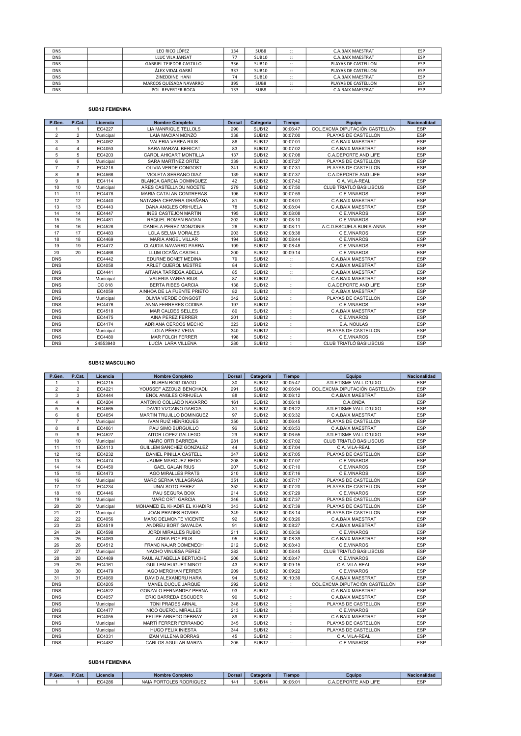| <b>DNS</b> |  | LEO RICO LÓPEZ                  | 134 | SUB8              | $\cdot$ .<br>$\cdots$             | <b>C.A.BAIX MAESTRAT</b> | ESP |
|------------|--|---------------------------------|-----|-------------------|-----------------------------------|--------------------------|-----|
| <b>DNS</b> |  | LLUC VILA JANSAT                | --  | SUB <sub>10</sub> | $\cdot$ .<br>$\cdots$             | <b>C.A.BAIX MAESTRAT</b> | ESP |
| <b>DNS</b> |  | <b>GABRIEL TEJEDOR CASTILLO</b> | 336 | <b>SUB10</b>      | $\cdot$ .<br>$\cdot$              | PLAYAS DE CASTELLON      | ESP |
| <b>DNS</b> |  | ÁLEX VIDAL GARBÍ                | 337 | SUB <sub>10</sub> | $\cdots$<br>$\cdots$              | PLAYAS DE CASTELLON      | ESP |
| <b>DNS</b> |  | ZINEDDINE HANI                  | 74  | SUB <sub>10</sub> | $\cdot$ .<br>$\cdots$             | <b>C.A.BAIX MAESTRAT</b> | ESP |
| <b>DNS</b> |  | MARCOS QUESADA NAVARRO          | 395 | SUB <sub>8</sub>  | $\cdot$ .<br>$\cdot$              | PLAYAS DE CASTELLON      | ESP |
| <b>DNS</b> |  | POL REVERTER ROCA               | 133 | SUB <sub>8</sub>  | $\cdot$ .<br>$\ddot{\phantom{0}}$ | C.A.BAIX MAESTRAT        | ESP |

## SUB12 FEMENINA

| P.Gen.         | P.Cat.         | Licencia  | <b>Nombre Completo</b>         | <b>Dorsal</b> | Categoría         | <b>Tiempo</b>        | Equipo                         | <b>Nacionalidad</b> |
|----------------|----------------|-----------|--------------------------------|---------------|-------------------|----------------------|--------------------------------|---------------------|
| $\mathbf{1}$   | 1              | EC4227    | LIA MANRIQUE TELLOLS           | 290           | SUB <sub>12</sub> | 00:06:47             | COL.EXCMA.DIPUTACIÓN CASTELLÓN | ESP                 |
| $\overline{2}$ | $\overline{2}$ | Municipal | LAIA MACIÁN MONZÓ              | 338           | SUB <sub>12</sub> | 00:07:00             | PLAYAS DE CASTELLON            | <b>ESP</b>          |
| 3              | 3              | EC4062    | <b>VALERIA VAREA RIUS</b>      | 86            | SUB <sub>12</sub> | 00:07:01             | <b>C.A.BAIX MAESTRAT</b>       | ESP                 |
| $\overline{4}$ | $\overline{4}$ | EC4053    | SARA MARZAL BERICAT            | 83            | SUB <sub>12</sub> | 00:07:02             | <b>C.A.BAIX MAESTRAT</b>       | ESP                 |
| 5              | 5              | EC4203    | CAROL AHICART MONTILLA         | 137           | SUB <sub>12</sub> | 00:07:08             | C.A.DEPORTE AND LIFE           | ESP                 |
| 6              | 6              | Municipal | SARA MARTÍNEZ ORTÍZ            | 339           | SUB <sub>12</sub> | 00:07:27             | PLAYAS DE CASTELLON            | ESP                 |
| $\overline{7}$ | $\overline{7}$ | EC4218    | OLIVIA VERDE CONGOST           | 341           | SUB <sub>12</sub> | 00:07:31             | PLAYAS DE CASTELLON            | <b>ESP</b>          |
| 8              | 8              | EC4568    | VIOLETA SERRANO DIAZ           | 139           | SUB <sub>12</sub> | 00:07:37             | C.A.DEPORTE AND LIFE           | ESP                 |
| 9              | 9              | EC4114    | <b>BLANCA GARCIA DOMINGUEZ</b> | 42            | SUB <sub>12</sub> | 00:07:42             | C.A. VILA-REAL                 | <b>ESP</b>          |
| 10             | 10             | Municipal | ARES CASTELLNOU NOCETE         | 279           | SUB <sub>12</sub> | 00:07:50             | CLUB TRIATLÓ BASILISCUS        | ESP                 |
| 11             | 11             | EC4478    | MARIA CATALAN CONTRERAS        | 196           | SUB <sub>12</sub> | 00:07:59             | C.E.VINAROS                    | ESP                 |
| 12             | 12             | EC4440    | NATASHA CERVERA GRAÑANA        | 81            | SUB <sub>12</sub> | 00:08:01             | <b>C.A.BAIX MAESTRAT</b>       | ESP                 |
| 13             | 13             | EC4443    | <b>DANA ANGLES ORIHUELA</b>    | 78            | SUB <sub>12</sub> | 00:08:04             | <b>C.A.BAIX MAESTRAT</b>       | ESP                 |
| 14             | 14             | EC4447    | <b>INES CASTEJON MARTIN</b>    | 195           | SUB <sub>12</sub> | 00:08:08             | C.E.VINAROS                    | <b>ESP</b>          |
| 15             | 15             | EC4481    | RAQUEL ROMAN BAGAN             | 202           | SUB <sub>12</sub> | 00:08:10             | C.E.VINAROS                    | <b>ESP</b>          |
| 16             | 16             | EC4528    | DANIELA PEREZ MONZONIS         | 26            | SUB <sub>12</sub> | 00:08:11             | A.C.D.ESCUELA BURIS-ANNA       | ESP                 |
| 17             | 17             | EC4483    | <b>LOLA SELMA MORALES</b>      | 203           | SUB <sub>12</sub> | 00:08:38             | C.E.VINAROS                    | ESP                 |
| 18             | 18             | EC4469    | <b>MARIA ANGEL VILLAR</b>      | 194           | SUB <sub>12</sub> | 00:08:44             | C.E.VINAROS                    | <b>ESP</b>          |
| 19             | 19             | EC4472    | CLAUDIA NAVARRO PARRA          | 199           | SUB <sub>12</sub> | 00:08:48             | C.E.VINAROS                    | <b>ESP</b>          |
| 20             | 20             | EC4468    | LLUM OCAÑA CASTELL             | 200           | SUB <sub>12</sub> | 00:09:14             | C.E.VINAROS                    | ESP                 |
| <b>DNS</b>     |                | EC4442    | <b>EDURNE BONET MEDINA</b>     | 79            | SUB <sub>12</sub> | $\mathbb{I}$         | <b>C.A.BAIX MAESTRAT</b>       | ESP                 |
| <b>DNS</b>     |                | EC4058    | ARLET QUEROL MESTRE            | 84            | SUB <sub>12</sub> | $\ddot{ }$           | <b>C.A.BAIX MAESTRAT</b>       | ESP                 |
| <b>DNS</b>     |                | EC4441    | AITANA TARREGA ABELLA          | 85            | SUB <sub>12</sub> | $\ddot{\phantom{a}}$ | <b>C.A.BAIX MAESTRAT</b>       | <b>ESP</b>          |
| <b>DNS</b>     |                | Municipal | <b>VALERIA VAREA RIUS</b>      | 87            | SUB <sub>12</sub> | $\ddot{ }$           | <b>C.A.BAIX MAESTRAT</b>       | <b>ESP</b>          |
| <b>DNS</b>     |                | CC 818    | <b>BERTA RIBES GARCIA</b>      | 138           | SUB <sub>12</sub> | $\ddot{ }$           | C.A.DEPORTE AND LIFE           | ESP                 |
| <b>DNS</b>     |                | EC4059    | AINHOA DE LA FUENTE PRIETO     | 82            | SUB <sub>12</sub> | $\ddot{ }$           | <b>C.A.BAIX MAESTRAT</b>       | ESP                 |
| <b>DNS</b>     |                | Municipal | OLIVIA VERDE CONGOST           | 342           | SUB <sub>12</sub> | $\ddot{ }$           | PLAYAS DE CASTELLON            | ESP                 |
| <b>DNS</b>     |                | EC4476    | ANNA FERRERES CODINA           | 197           | SUB <sub>12</sub> | $\ddot{ }$           | C.E.VINAROS                    | ESP                 |
| <b>DNS</b>     |                | EC4518    | MAR CALDES SELLES              | 80            | SUB <sub>12</sub> | $\mathbb{I}$         | C.A.BAIX MAESTRAT              | ESP                 |
| <b>DNS</b>     |                | EC4475    | AINA PEREZ FERRER              | 201           | SUB <sub>12</sub> | $\ddot{ }$           | C.E.VINAROS                    | ESP                 |
| <b>DNS</b>     |                | EC4174    | ADRIANA CERCOS MECHO           | 323           | SUB <sub>12</sub> | $\mathbb{I}$         | E.A. NOULAS                    | ESP                 |
| <b>DNS</b>     |                | Municipal | LOLA PÉREZ VEGA                | 340           | SUB <sub>12</sub> | $\ddot{\phantom{a}}$ | PLAYAS DE CASTELLON            | <b>ESP</b>          |
| <b>DNS</b>     |                | EC4480    | <b>MAR FOLCH FERRER</b>        | 198           | SUB <sub>12</sub> | $\mathbb{I}$         | C.E.VINAROS                    | <b>ESP</b>          |
| <b>DNS</b>     |                | 24553940  | LUCÍA LARA VILLENA             | 280           | SUB <sub>12</sub> | $\ddot{ }$           | CLUB TRIATLÓ BASILISCUS        | ESP                 |

#### SUB12 MASCULINO

| P.Gen.         | P.Cat.         | Licencia  | <b>Nombre Completo</b>         | <b>Dorsal</b> | Categoría         | <b>Tiempo</b>        | Equipo                         | <b>Nacionalidad</b> |
|----------------|----------------|-----------|--------------------------------|---------------|-------------------|----------------------|--------------------------------|---------------------|
| $\mathbf{1}$   | $\mathbf{1}$   | EC4215    | <b>RUBEN ROIG DIAGO</b>        | 30            | SUB <sub>12</sub> | 00:05:47             | ATLETISME VALL D'UIXO          | <b>ESP</b>          |
| $\overline{2}$ | $\overline{2}$ | EC4221    | YOUSSEF AZZOUZI BENCHADLI      | 291           | SUB <sub>12</sub> | 00:06:04             | COL.EXCMA.DIPUTACIÓN CASTELLÓN | ESP                 |
| 3              | 3              | EC4444    | <b>ENOL ANGLES ORIHUELA</b>    | 88            | SUB <sub>12</sub> | 00:06:12             | <b>C.A.BAIX MAESTRAT</b>       | ESP                 |
| $\overline{4}$ | 4              | EC4204    | ANTONIO COLLADO NAVARRO        | 161           | SUB <sub>12</sub> | 00:06:18             | C.A.ONDA                       | ESP                 |
| 5              | 5              | EC4565    | <b>DAVID VIZCAINO GARCIA</b>   | 31            | SUB <sub>12</sub> | 00:06:22             | ATLETISME VALL D'UIXO          | ESP                 |
| 6              | 6              | EC4054    | MARTIN TRUJILLO DOMINGUEZ      | 97            | SUB <sub>12</sub> | 00:06:32             | <b>C.A.BAIX MAESTRAT</b>       | ESP                 |
| $\overline{7}$ | $\overline{7}$ | Municipal | <b>IVAN RUIZ HENRIQUES</b>     | 350           | SUB <sub>12</sub> | 00:06:45             | PLAYAS DE CASTELLON            | ESP                 |
| 8              | 8              | EC4061    | PAU SIMO BURGUILLO             | 96            | SUB <sub>12</sub> | 00:06:53             | <b>C.A.BAIX MAESTRAT</b>       | ESP                 |
| 9              | 9              | EC4527    | AITOR LOPEZ GALLEGO            | 29            | SUB <sub>12</sub> | 00:06:55             | ATLETISME VALL D'UIXO          | ESP                 |
| 10             | 10             | Municipal | <b>MARC ORTI BARREDA</b>       | 281           | SUB <sub>12</sub> | 00:07:02             | CLUB TRIATLÓ BASILISCUS        | ESP                 |
| 11             | 11             | EC4113    | GUILLEM SANCHEZ GONZALEZ       | 44            | SUB <sub>12</sub> | 00:07:04             | C.A. VILA-REAL                 | ESP                 |
| 12             | 12             | EC4232    | <b>DANIEL PINILLA CASTELL</b>  | 347           | SUB <sub>12</sub> | 00:07:05             | PLAYAS DE CASTELLON            | ESP                 |
| 13             | 13             | EC4474    | JAUME MARQUEZ REDO             | 208           | SUB <sub>12</sub> | 00:07:07             | C.E.VINAROS                    | ESP                 |
| 14             | 14             | EC4450    | <b>GAEL GALAN RIUS</b>         | 207           | SUB <sub>12</sub> | 00:07:10             | C.E.VINAROS                    | ESP                 |
| 15             | 15             | EC4473    | <b>IAGO MIRALLES PRATS</b>     | 210           | SUB <sub>12</sub> | 00:07:16             | C.E.VINAROS                    | ESP                 |
| 16             | 16             | Municipal | <b>MARC SERNA VILLAGRASA</b>   | 351           | SUB <sub>12</sub> | 00:07:17             | PLAYAS DE CASTELLON            | ESP                 |
| 17             | 17             | EC4234    | <b>UNAI SOTO PEREZ</b>         | 352           | SUB <sub>12</sub> | 00:07:20             | PLAYAS DE CASTELLON            | ESP                 |
| 18             | 18             | EC4446    | PAU SEGURA BOIX                | 214           | SUB <sub>12</sub> | 00:07:29             | C.E.VINAROS                    | <b>ESP</b>          |
| 19             | 19             | Municipal | <b>MARC ORTI GARCIA</b>        | 346           | SUB <sub>12</sub> | 00:07:37             | PLAYAS DE CASTELLON            | ESP                 |
| 20             | 20             | Municipal | MOHAMED EL KHADIR EL KHADIRI   | 343           | SUB <sub>12</sub> | 00:07:39             | PLAYAS DE CASTELLON            | ESP                 |
| 21             | 21             | Municipal | <b>JOAN PRADES ROVIRA</b>      | 349           | SUB <sub>12</sub> | 00:08:14             | PLAYAS DE CASTELLON            | ESP                 |
| 22             | 22             | EC4056    | MARC DELMONTE VICENTE          | 92            | SUB <sub>12</sub> | 00:08:26             | <b>C.A.BAIX MAESTRAT</b>       | ESP                 |
| 23             | 23             | EC4519    | ANDREU BORT GAVALDA            | 91            | SUB <sub>12</sub> | 00:08:27             | <b>C.A.BAIX MAESTRAT</b>       | ESP                 |
| 24             | 24             | EC4598    | <b>JORDI MIRALLES RUBIO</b>    | 211           | SUB <sub>12</sub> | 00:08:36             | C.E.VINAROS                    | ESP                 |
| 25             | 25             | EC4063    | <b>ADRIA POY PIUS</b>          | 95            | SUB <sub>12</sub> | 00:08:39             | <b>C.A.BAIX MAESTRAT</b>       | ESP                 |
| 26             | 26             | EC4512    | <b>FRANC NAJAR DOMENECH</b>    | 212           | SUB <sub>12</sub> | 00:08:43             | C.E.VINAROS                    | ESP                 |
| 27             | 27             | Municipal | NACHO VINUESA PEREZ            | 282           | SUB <sub>12</sub> | 00:08:45             | CLUB TRIATLÓ BASILISCUS        | ESP                 |
| 28             | 28             | EC4489    | RAUL ALTABELLA BERTUCHE        | 206           | SUB <sub>12</sub> | 00:08:47             | C.E.VINAROS                    | ESP                 |
| 29             | 29             | EC4161    | <b>GUILLEM HUGUET NINOT</b>    | 43            | SUB <sub>12</sub> | 00:09:15             | C.A. VILA-REAL                 | ESP                 |
| 30             | 30             | EC4479    | <b>IAGO MERCHAN FERRER</b>     | 209           | SUB <sub>12</sub> | 00:09:22             | C.E.VINAROS                    | ESP                 |
| 31             | 31             | EC4060    | DAVID ALEXANDRU HARA           | 94            | SUB <sub>12</sub> | 00:10:39             | C.A.BAIX MAESTRAT              | <b>ESP</b>          |
| <b>DNS</b>     |                | EC4205    | MANEL DUQUE JARQUE             | 292           | <b>SUB12</b>      | $\ddot{\phantom{a}}$ | COL.EXCMA.DIPUTACIÓN CASTELLÓN | ESP                 |
| <b>DNS</b>     |                | EC4522    | <b>GONZALO FERNANDEZ PERNA</b> | 93            | SUB <sub>12</sub> | $\ddot{\Xi}$         | <b>C.A.BAIX MAESTRAT</b>       | ESP                 |
| <b>DNS</b>     |                | EC4057    | <b>ERIC BARREDA ESCUDER</b>    | 90            | SUB <sub>12</sub> | $\dddot{\mathbb{Z}}$ | <b>C.A.BAIX MAESTRAT</b>       | ESP                 |
| <b>DNS</b>     |                | Municipal | TONI PRADES ARNAL              | 348           | SUB <sub>12</sub> | $\ddot{\phantom{a}}$ | PLAYAS DE CASTELLON            | ESP                 |
| <b>DNS</b>     |                | EC4477    | NICO QUEROL MIRALLES           | 213           | SUB <sub>12</sub> | $\dddot{.}$          | C.E.VINAROS                    | ESP                 |
| <b>DNS</b>     |                | EC4055    | FELIPE ARNEDO DEBRAY           | 89            | SUB <sub>12</sub> | $\ddot{\phantom{a}}$ | <b>C.A.BAIX MAESTRAT</b>       | <b>ESP</b>          |
| <b>DNS</b>     |                | Municipal | MARTÍ FERRER FERRANDO          | 345           | <b>SUB12</b>      | $\mathbb{Z}^2$       | PLAYAS DE CASTELLON            | ESP                 |
| <b>DNS</b>     |                | Municipal | <b>HUGO FELIX INIESTA</b>      | 344           | SUB <sub>12</sub> | $\ddot{\phantom{a}}$ | PLAYAS DE CASTELLON            | <b>ESP</b>          |
| <b>DNS</b>     |                | EC4331    | <b>IZAN VILLENA BORRAS</b>     | 45            | SUB <sub>12</sub> | $\ddot{ }$           | C.A. VILA-REAL                 | ESP                 |
| <b>DNS</b>     |                | EC4482    | CARLOS AGUILAR MARZA           | 205           | SUB <sub>12</sub> | $\ddot{\Xi}$         | C.E.VINAROS                    | ESP                 |

#### SUB14 FEMENINA

| <sup>2</sup> .Gen. | - cat∴ | Licencia | Nombre<br>, Completo            | Dorsa | Categoria         | <b>Tiempo</b> | Eauipo                         | Nacionalidad |
|--------------------|--------|----------|---------------------------------|-------|-------------------|---------------|--------------------------------|--------------|
|                    |        | EC4286   | <b>RODRIGUEZ</b><br><b>NAIA</b> | ۰۸۰   | SUB <sub>14</sub> | 00:06:01      | AND LIFE<br>n'<br>JR P<br>៶IJ⋿ | ECD<br>∽     |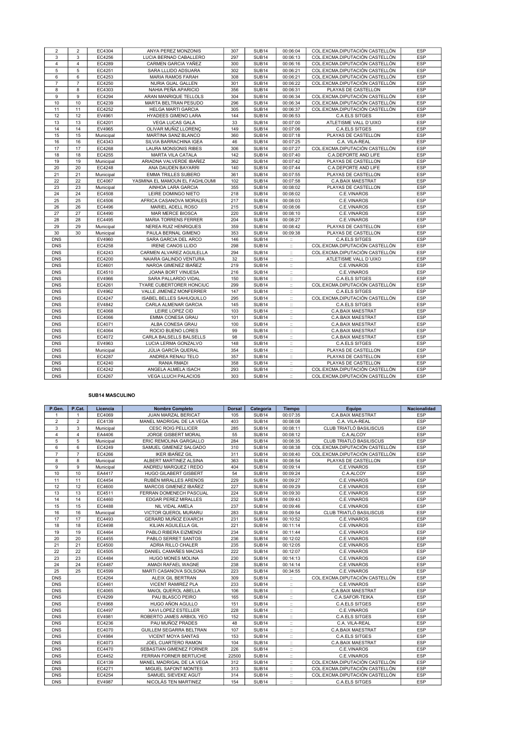| $\overline{2}$ | $\overline{2}$ | EC4304    | ANYA PEREZ MONZONIS            | 307 | SUB <sub>14</sub> | 00:06:04                  | COL.EXCMA.DIPUTACIÓN CASTELLÓN | ESP        |
|----------------|----------------|-----------|--------------------------------|-----|-------------------|---------------------------|--------------------------------|------------|
| 3              | 3              | EC4256    | LUCIA BERNAD CABALLERO         | 297 | SUB <sub>14</sub> | 00:06:13                  | COL.EXCMA.DIPUTACIÓN CASTELLÓN | <b>ESP</b> |
| $\overline{4}$ | $\overline{4}$ | EC4289    | CARMEN GARCIA YAÑEZ            | 300 | SUB <sub>14</sub> | 00:06:16                  | COL.EXCMA.DIPUTACIÓN CASTELLÓN | ESP        |
| 5              | 5              | EC4251    | SARA LLLIDO ADSUARA            | 302 | SUB <sub>14</sub> | 00:06:21                  | COL.EXCMA.DIPUTACIÓN CASTELLÓN | ESP        |
| 6              | 6              | EC4253    | MARIA RAMOS FARAH              | 308 | SUB <sub>14</sub> | 00:06:21                  | COL.EXCMA.DIPUTACIÓN CASTELLÓN | ESP        |
| $\overline{7}$ | $\overline{7}$ | EC4250    | NURIA GUAL GALLEN              | 301 | SUB <sub>14</sub> | 00:06:22                  | COL.EXCMA.DIPUTACIÓN CASTELLÓN | ESP        |
| 8              | 8              | EC4303    | NAHIA PEÑA APARICIO            | 356 | SUB <sub>14</sub> | 00:06:31                  | PLAYAS DE CASTELLON            | ESP        |
| 9              | 9              | EC4294    | ARAN MANRIQUE TELLOLS          | 304 | SUB <sub>14</sub> | 00:06:34                  | COL.EXCMA.DIPUTACIÓN CASTELLÓN | ESP        |
| 10             | 10             | EC4239    | MARTA BELTRAN PESUDO           | 296 | SUB <sub>14</sub> | 00:06:34                  | COL.EXCMA.DIPUTACIÓN CASTELLÓN | ESP        |
| 11             | 11             | EC4252    | <b>HELGA MARTI GARCIA</b>      | 305 | SUB <sub>14</sub> | 00:06:37                  | COL.EXCMA.DIPUTACIÓN CASTELLÓN | ESP        |
| 12             | 12             | EV4961    | <b>HYADEES GIMENO LARA</b>     | 144 | SUB <sub>14</sub> | 00:06:53                  | <b>C.A.ELS SITGES</b>          | ESP        |
| 13             | 13             | EC4201    | <b>VEGA LUCAS GALA</b>         | 33  | <b>SUB14</b>      | 00:07:00                  | ATLETISME VALL D'UIXO          | ESP        |
| 14             | 14             | EV4965    | OLIVAR MUÑIZ LLORENC           | 149 | SUB <sub>14</sub> | 00:07:06                  | <b>C.A.ELS SITGES</b>          | ESP        |
| 15             | 15             | Municipal | MARTINA SANZ BLANCO            | 360 | SUB <sub>14</sub> | 00:07:18                  | PLAYAS DE CASTELLON            | ESP        |
| 16             | 16             | EC4343    | SILVIA BARRACHINA IGEA         | 46  | SUB <sub>14</sub> | 00:07:25                  | C.A. VILA-REAL                 | ESP        |
| 17             | 17             | EC4268    | LAURA MONSONIS RIBES           | 306 | SUB <sub>14</sub> | 00:07:27                  | COL.EXCMA.DIPUTACIÓN CASTELLÓN | ESP        |
| 18             | 18             | EC4255    | MARTA VILA CATALA              | 142 | SUB <sub>14</sub> | 00:07:40                  | C.A.DEPORTE AND LIFE           | ESP        |
| 19             | 19             | Municipal | ARIADNA VALVERDE IBAÑEZ        | 362 | SUB <sub>14</sub> | 00:07:42                  | PLAYAS DE CASTELLON            | ESP        |
| 20             | 20             | EC4248    | ANA DAUDEN BAYARRI             | 140 | SUB <sub>14</sub> | 00:07:44                  | C.A.DEPORTE AND LIFE           | ESP        |
| 21             | 21             | Municipal | <b>EMMA TRILLES SUBERO</b>     | 361 | SUB <sub>14</sub> | 00:07:55                  | PLAYAS DE CASTELLON            | ESP        |
| 22             | 22             | EC4067    | YASMINA EL MAMOUN EL FAGHLOUMI | 102 | SUB <sub>14</sub> | 00:07:58                  | <b>C.A.BAIX MAESTRAT</b>       | ESP        |
| 23             | 23             | Municipal | AINHOA LARA GARCIA             | 355 | SUB <sub>14</sub> | 00:08:02                  | PLAYAS DE CASTELLON            | <b>ESP</b> |
| 24             | 24             | EC4508    | LEIRE DOMINGO NIETO            | 218 | SUB <sub>14</sub> | 00:08:02                  | C.E.VINAROS                    | <b>ESP</b> |
| 25             | 25             | EC4506    | AFRICA CASANOVA MORALES        | 217 | SUB <sub>14</sub> | 00:08:03                  | C.E.VINAROS                    | ESP        |
| 26             | 26             | EC4496    | MARIEL ADELL ROSO              | 215 | SUB <sub>14</sub> | 00:08:06                  | C.E.VINAROS                    | ESP        |
| 27             | 27             | EC4490    | <b>MAR MERCE BIOSCA</b>        | 220 | SUB <sub>14</sub> | 00:08:10                  | C.E.VINAROS                    | ESP        |
| 28             | 28             | EC4495    | <b>MARIA TORRENS FERRER</b>    | 204 | SUB <sub>14</sub> | 00:08:27                  | C.E.VINAROS                    | ESP        |
| 29             | 29             | Municipal | <b>NEREA RUIZ HENRIQUES</b>    | 359 | SUB <sub>14</sub> | 00:08:42                  | PLAYAS DE CASTELLON            | <b>ESP</b> |
| 30             | 30             | Municipal | PAULA BERNAL GIMENO            | 353 | SUB <sub>14</sub> | 00:09:38                  | PLAYAS DE CASTELLON            | ESP        |
| <b>DNS</b>     |                | EV4960    | SARA GARCIA DEL ARCO           | 146 | SUB <sub>14</sub> | $\ddot{ }$                | C.A.ELS SITGES                 | ESP        |
| <b>DNS</b>     |                | EC4258    | <b>IRENE CANOS LLIDO</b>       | 298 | SUB <sub>14</sub> | $\ddot{\Sigma}$           | COL.EXCMA.DIPUTACIÓN CASTELLÓN | ESP        |
| <b>DNS</b>     |                | EC4243    | CARMEN ALVAREZ AGUILELLA       | 294 | SUB <sub>14</sub> | $\mathbb{Z}^2$            | COL.EXCMA.DIPUTACIÓN CASTELLÓN | ESP        |
| <b>DNS</b>     |                | EC4200    | NAIARA GALINDO VENTURA         | 32  | SUB <sub>14</sub> | $\mathbb{H}^{\mathbb{N}}$ | ATLETISME VALL D'UIXO          | ESP        |
| <b>DNS</b>     |                | EC4601    | NAROA GIMENEZ IBAÑEZ           | 219 | <b>SUB14</b>      | $\ddot{\mathbb{Z}}$       | C.E.VINAROS                    | ESP        |
| <b>DNS</b>     |                | EC4510    | JOANA BORT VINUESA             | 216 | SUB <sub>14</sub> | $\mathbb{Z}^+$            | C.E.VINAROS                    | ESP        |
| <b>DNS</b>     |                | EV4966    | SARA PALLARDO VIDAL            | 150 | SUB <sub>14</sub> | $\mathbb{Z}^{\times}$     | C.A.ELS SITGES                 | <b>ESP</b> |
| <b>DNS</b>     |                | EC4261    | TYARE CUBERTORER HONCIUC       | 299 | <b>SUB14</b>      | $\dddot{\mathbb{Z}}$      | COL.EXCMA.DIPUTACIÓN CASTELLÓN | ESP        |
| <b>DNS</b>     |                | EV4962    | VALLE JIMENEZ MONFERRER        | 147 | SUB <sub>14</sub> | $\dddot{\mathbb{Z}}$      | C.A.ELS SITGES                 | ESP        |
| <b>DNS</b>     |                | EC4247    | ISABEL BELLES SAHUQUILLO       | 295 | SUB <sub>14</sub> | $\ddot{\mathbb{I}}$       | COL.EXCMA.DIPUTACIÓN CASTELLÓN | ESP        |
| <b>DNS</b>     |                | EV4842    | CARLA ALMENAR GARCIA           | 145 | <b>SUB14</b>      | $\ddot{\phantom{1}}$ :    | <b>C.A.ELS SITGES</b>          | ESP        |
| <b>DNS</b>     |                | EC4068    | LEIRE LOPEZ CID                | 103 | SUB <sub>14</sub> | $\ddot{\mathbb{I}}$       | C.A.BAIX MAESTRAT              | ESP        |
| <b>DNS</b>     |                | EC4066    | EMMA CONESA GRAU               | 101 | SUB <sub>14</sub> | $\ddot{\rm{H}}$           | C.A.BAIX MAESTRAT              | ESP        |
| <b>DNS</b>     |                | EC4071    | ALBA CONESA GRAU               | 100 | SUB <sub>14</sub> | $\ddot{\phantom{1}}$ :    | C.A.BAIX MAESTRAT              | ESP        |
| <b>DNS</b>     |                | EC4064    | ROCIO BUENO LORES              | 99  | SUB <sub>14</sub> | $\ddot{\Xi}$              | C.A.BAIX MAESTRAT              | ESP        |
| <b>DNS</b>     |                | EC4072    | CARLA BALSELLS BALSELLS        | 98  | SUB <sub>14</sub> | $\ddot{\phantom{a}}$      | C.A.BAIX MAESTRAT              | ESP        |
| <b>DNS</b>     |                | EV4963    | LUCIA LERMA GONZALVO           | 148 | SUB <sub>14</sub> | $\ddot{\Sigma}$           | <b>C.A.ELS SITGES</b>          | ESP        |
| <b>DNS</b>     |                | Municipal | JÚLIA GARCÍA QUERAL            | 354 | SUB <sub>14</sub> | $\ddot{\phantom{a}}$      | PLAYAS DE CASTELLON            | ESP        |
| <b>DNS</b>     |                | EC4287    | ANDREA RENAU TELO              | 357 | SUB <sub>14</sub> | $\mathbb{H}^{\mathbb{N}}$ | PLAYAS DE CASTELLON            | <b>ESP</b> |
| <b>DNS</b>     |                | EC4240    | RANIA RMADI                    | 358 | SUB <sub>14</sub> | $\mathbb{Z}$              | PLAYAS DE CASTELLON            | <b>ESP</b> |
| <b>DNS</b>     |                | EC4242    | ANGELA ALMELA ISACH            | 293 | SUB <sub>14</sub> | $\mathbb{Z}^{\times}$     | COL.EXCMA.DIPUTACIÓN CASTELLÓN | <b>ESP</b> |
| <b>DNS</b>     |                | EC4267    | <b>VEGA LLUCH PALACIOS</b>     | 303 | SUB <sub>14</sub> | $\ddot{\mathbb{Z}}$       | COL.EXCMA.DIPUTACIÓN CASTELLÓN | ESP        |

## SUB14 MASCULINO

| P.Gen.         | P.Cat.         | Licencia  | <b>Nombre Completo</b>          | <b>Dorsal</b> | Categoría         | <b>Tiempo</b>         | Equipo                         | <b>Nacionalidad</b> |
|----------------|----------------|-----------|---------------------------------|---------------|-------------------|-----------------------|--------------------------------|---------------------|
| $\mathbf{1}$   | $\mathbf{1}$   | EC4069    | <b>JUAN MARZAL BERICAT</b>      | 105           | SUB <sub>14</sub> | 00:07:35              | <b>C.A.BAIX MAESTRAT</b>       | <b>ESP</b>          |
| $\overline{2}$ | $\overline{2}$ | EC4139    | MANEL MADRIGAL DE LA VEGA       | 403           | SUB <sub>14</sub> | 00:08:08              | C.A. VILA-REAL                 | ESP                 |
| 3              | 3              | Municipal | <b>CESC ROIG PELLICER</b>       | 285           | SUB <sub>14</sub> | 00:08:11              | CLUB TRIATLÓ BASILISCUS        | ESP                 |
| $\overline{4}$ | $\overline{4}$ | EA4406    | <b>JORGE GISBERT MORAL</b>      | 55            | SUB <sub>14</sub> | 00:08:12              | C.A.ALCOY                      | ESP                 |
| 5              | 5              | Municipal | ERIC REMOLINA GARGALLO          | 284           | SUB <sub>14</sub> | 00:08:35              | CLUB TRIATLÓ BASILISCUS        | ESP                 |
| 6              | 6              | EC4249    | SAMUEL GIMENEZ SALGADO          | 310           | SUB <sub>14</sub> | 00:08:38              | COL.EXCMA.DIPUTACIÓN CASTELLÓN | <b>ESP</b>          |
| $\overline{7}$ | $\overline{7}$ | EC4266    | <b>IKER IBAÑEZ GIL</b>          | 311           | SUB <sub>14</sub> | 00:08:40              | COL.EXCMA.DIPUTACIÓN CASTELLÓN | <b>ESP</b>          |
| 8              | 8              | Municipal | ALBERT MARTINEZ ALSINA          | 363           | SUB <sub>14</sub> | 00:08:54              | PLAYAS DE CASTELLON            | <b>ESP</b>          |
| 9              | 9              | Municipal | ANDREU MARQUEZ I REDO           | 404           | SUB <sub>14</sub> | 00:09:14              | C.E.VINAROS                    | ESP                 |
| 10             | 10             | EA4417    | <b>HUGO GILABERT GISBERT</b>    | 54            | SUB <sub>14</sub> | 00:09:24              | C.A.ALCOY                      | ESP                 |
| 11             | 11             | EC4454    | RUBÉN MIRALLES ARENOS           | 229           | SUB <sub>14</sub> | 00:09:27              | C.E.VINAROS                    | ESP                 |
| 12             | 12             | EC4600    | MARCOS GIMENEZ IBAÑEZ           | 227           | SUB <sub>14</sub> | 00:09:29              | C.E.VINAROS                    | ESP                 |
| 13             | 13             | EC4511    | FERRAN DOMENECH PASCUAL         | 224           | SUB <sub>14</sub> | 00:09:30              | C.E.VINAROS                    | <b>ESP</b>          |
| 14             | 14             | EC4460    | <b>EDGAR PEREZ MIRALLES</b>     | 232           | SUB <sub>14</sub> | 00:09:43              | C.E.VINAROS                    | ESP                 |
| 15             | 15             | EC4488    | NIL VIDAL AMELA                 | 237           | SUB <sub>14</sub> | 00:09:46              | C.E.VINAROS                    | ESP                 |
| 16             | 16             | Municipal | VICTOR QUEROL MURARU            | 283           | SUB <sub>14</sub> | 00:09:54              | CLUB TRIATLÓ BASILISCUS        | <b>ESP</b>          |
| 17             | 17             | EC4493    | GERARD MUÑOZ EIXARCH            | 231           | SUB <sub>14</sub> | 00:10:52              | C.E.VINAROS                    | ESP                 |
| 18             | 18             | EC4498    | KILIAN AGUILELLA GIL            | 221           | <b>SUB14</b>      | 00:11:14              | C.E.VINAROS                    | ESP                 |
| 19             | 19             | EC4464    | PABLO RIBERA EIZMENDI           | 234           | <b>SUB14</b>      | 00:11:44              | C.E.VINAROS                    | <b>ESP</b>          |
| 20             | 20             | EC4455    | PABLO SERRET SANTOS             | 236           | SUB <sub>14</sub> | 00:12:02              | C.E.VINAROS                    | ESP                 |
| 21             | 21             | EC4500    | ADRIA RILLO CHALER              | 235           | SUB <sub>14</sub> | 00:12:05              | C.E.VINAROS                    | ESP                 |
| 22             | 22             | EC4505    | DANIEL CAMAÑES MACIAS           | 222           | SUB <sub>14</sub> | 00:12:07              | C.E.VINAROS                    | <b>ESP</b>          |
| 23             | 23             | EC4484    | HUGO MONES MOLINA               | 230           | SUB <sub>14</sub> | 00:14:13              | C.E.VINAROS                    | ESP                 |
| 24             | 24             | EC4487    | AMADI RAFAEL WAGNE              | 238           | SUB <sub>14</sub> | 00:14:14              | C.E.VINAROS                    | ESP                 |
| 25             | 25             | EC4599    | MARTI CASANOVA SOLSONA          | 223           | SUB <sub>14</sub> | 00:34:55              | C.E.VINAROS                    | ESP                 |
| <b>DNS</b>     |                | EC4264    | ALEIX GIL BERTRAN               | 309           | SUB <sub>14</sub> | $\dddot{\mathbb{Z}}$  | COL.EXCMA.DIPUTACIÓN CASTELLÓN | <b>ESP</b>          |
| <b>DNS</b>     |                | EC4461    | <b>VICENT RAMIREZ PLA</b>       | 233           | SUB <sub>14</sub> | $\mathbb{Z}^2$        | C.E.VINAROS                    | ESP                 |
| <b>DNS</b>     |                | EC4065    | MAIOL QUEROL ABELLA             | 106           | SUB <sub>14</sub> | $\mathbb{Z}^2$        | <b>C.A.BAIX MAESTRAT</b>       | ESP                 |
| <b>DNS</b>     |                | EV4299    | PAU BLASCO PEIRO                | 165           | SUB <sub>14</sub> | $\mathbb{Z}^{\times}$ | C.A.SAFOR-TEIKA                | ESP                 |
| <b>DNS</b>     |                | EV4968    | <b>HUGO AÑON AGULLO</b>         | 151           | SUB <sub>14</sub> | $\mathbb{Z}^2$        | C.A.ELS SITGES                 | <b>ESP</b>          |
| <b>DNS</b>     |                | EC4497    | <b>XAVI LOPEZ ESTELLER</b>      | 228           | SUB <sub>14</sub> | $\mathbb{Z}^2$        | C.E.VINAROS                    | ESP                 |
| <b>DNS</b>     |                | EV4981    | ROBERTO JAMES ARBIOL YEO        | 152           | SUB <sub>14</sub> | $\mathbb{Z}^2$        | C.A.ELS SITGES                 | ESP                 |
| <b>DNS</b>     |                | EC4236    | PAU MUÑOZ PRADES                | 48            | SUB <sub>14</sub> | $\ddot{\mathbb{Z}}$   | C.A. VILA-REAL                 | <b>ESP</b>          |
| <b>DNS</b>     |                | EC4070    | <b>GUILLEM SEGARRA BELTRAN</b>  | 107           | SUB <sub>14</sub> | $\mathbb{Z}^2$        | C.A.BAIX MAESTRAT              | ESP                 |
| <b>DNS</b>     |                | EV4984    | <b>VICENT MOYA SANTAS</b>       | 153           | SUB <sub>14</sub> | $\ddot{\mathbb{Z}}$   | C.A.ELS SITGES                 | ESP                 |
| <b>DNS</b>     |                | EC4073    | JOEL CUARTERO RAMON             | 104           | SUB <sub>14</sub> | $\dddot{\mathbb{Z}}$  | <b>C.A.BAIX MAESTRAT</b>       | ESP                 |
| <b>DNS</b>     |                | EC4470    | <b>SEBASTIAN GIMENEZ FORNER</b> | 226           | SUB <sub>14</sub> | $\mathbb{Z}^2$        | C.E.VINAROS                    | ESP                 |
| <b>DNS</b>     |                | EC4452    | FERRAN FORNER BERTUCHE          | 22500         | SUB <sub>14</sub> | $\mathbb{Z}^2$        | C.E.VINAROS                    | <b>ESP</b>          |
| <b>DNS</b>     |                | EC4139    | MANEL MADRIGAL DE LA VEGA       | 312           | SUB <sub>14</sub> | $\ddot{\mathbb{Z}}$   | COL.EXCMA.DIPUTACIÓN CASTELLÓN | ESP                 |
| <b>DNS</b>     |                | EC4271    | <b>MIGUEL SAFONT MONTES</b>     | 313           | SUB <sub>14</sub> | $\dddot{\mathbb{Z}}$  | COL.EXCMA.DIPUTACIÓN CASTELLÓN | ESP                 |
| <b>DNS</b>     |                | EC4254    | SAMUEL SIEVEKE AGUT             | 314           | SUB <sub>14</sub> | $\ddot{\mathbb{Z}}$   | COL.EXCMA.DIPUTACIÓN CASTELLÓN | ESP                 |
| <b>DNS</b>     |                | EV4987    | NICOLÁS TEN MARTINEZ            | 154           | SUB <sub>14</sub> | $\mathbb{R}^2$        | <b>C.A.ELS SITGES</b>          | <b>ESP</b>          |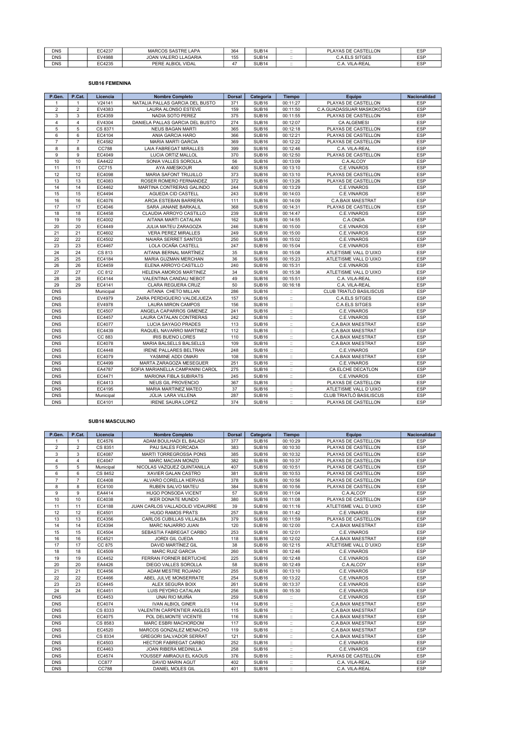| <b>DNS</b> | EC4237 | <b>MARCOS SASTRE LAPA</b>    | 364          | SUB <sub>14</sub> | $\cdot$ .<br>$\cdots$ | PLAYAS DE CASTELLON           | <b>ESP</b> |
|------------|--------|------------------------------|--------------|-------------------|-----------------------|-------------------------------|------------|
| <b>DNS</b> | EV4988 | JOAN VALERO LLAGARIA         | 155<br>ن ر   | SUB <sub>14</sub> | $\cdot$ .<br>$\cdots$ | <b>A.ELS SITGES</b><br>C.A.FI | <b>ESP</b> |
| <b>DNS</b> | EC4235 | <b>VIDAL</b><br>PERE ALBIOL. | $\cdot$<br>4 | SUB <sub>14</sub> | $\ddotsc$<br>$\cdots$ | <b>VILA-REAL</b><br>. A       | <b>ESP</b> |

### SUB16 FEMENINA

| P.Gen.         | P.Cat.         | Licencia  | <b>Nombre Completo</b>           | <b>Dorsal</b> | Categoría         | <b>Tiempo</b>             | Equipo                    | <b>Nacionalidad</b> |
|----------------|----------------|-----------|----------------------------------|---------------|-------------------|---------------------------|---------------------------|---------------------|
| $\mathbf{1}$   | $\mathbf{1}$   | V24141    | NATALIA PALLAS GARCIA DEL BUSTO  | 371           | SUB <sub>16</sub> | 00:11:27                  | PLAYAS DE CASTELLON       | ESP                 |
| $\overline{2}$ | $\overline{2}$ | EV4383    | <b>LAURA ALONSO ESTEVE</b>       | 159           | SUB <sub>16</sub> | 00:11:50                  | C.A.GUADASSUAR MASKOKOTAS | ESP                 |
| 3              | 3              | EC4359    | NADIA SOTO PEREZ                 | 375           | SUB <sub>16</sub> | 00:11:55                  | PLAYAS DE CASTELLON       | <b>ESP</b>          |
| $\overline{4}$ | $\overline{4}$ | EV4304    | DANIELA PALLAS GARCIA DEL BUSTO  | 274           | SUB <sub>16</sub> | 00:12:07                  | <b>CA ALGEMESI</b>        | ESP                 |
| 5              | 5              | CS 8371   | <b>NEUS BAGAN MARTI</b>          | 365           | SUB <sub>16</sub> | 00:12:18                  | PLAYAS DE CASTELLON       | ESP                 |
| 6              | 6              | EC4104    | ANIA GARCIA HARO                 | 366           | SUB <sub>16</sub> | 00:12:21                  | PLAYAS DE CASTELLON       | ESP                 |
| $\overline{7}$ | $\overline{7}$ | EC4582    | MARIA MARTI GARCIA               | 369           | SUB <sub>16</sub> | 00:12:22                  | PLAYAS DE CASTELLON       | ESP                 |
| 8              | 8              | CC788     | LAIA FABREGAT MIRALLES           | 399           | SUB <sub>16</sub> | 00:12:46                  | C.A. VILA-REAL            | <b>ESP</b>          |
| 9              | 9              | EC4049    | LUCIA ORTIZ MALLOL               | 370           | SUB <sub>16</sub> | 00:12:50                  | PLAYAS DE CASTELLON       | <b>ESP</b>          |
| 10             | 10             | EA4422    | SONIA VALLES SOROLLA             | 56            | SUB <sub>16</sub> | 00:13:09                  | C.A.ALCOY                 | ESP                 |
| 11             | 11             | CC715     | AYA AMESKOUR                     | 400           | SUB <sub>16</sub> | 00:13:10                  | C.E.VINAROS               | ESP                 |
| 12             | 12             | EC4098    | <b>MARIA SAFONT TRUJILLO</b>     | 373           | SUB <sub>16</sub> | 00:13:10                  | PLAYAS DE CASTELLON       | <b>ESP</b>          |
| 13             | 13             | EC4083    | ROSER ROMERO FERNANDEZ           | 372           | SUB <sub>16</sub> | 00:13:26                  | PLAYAS DE CASTELLON       | ESP                 |
| 14             | 14             | EC4462    | MARTINA CONTRERAS GALINDO        | 244           | SUB <sub>16</sub> | 00:13:29                  | C.E.VINAROS               | ESP                 |
| 15             | 15             | EC4494    | AGUEDA CID CASTELL               | 243           | SUB <sub>16</sub> | 00:14:03                  | C.E.VINAROS               | <b>ESP</b>          |
| 16             | 16             | EC4076    | AROA ESTEBAN BARRERA             | 111           | SUB <sub>16</sub> | 00:14:09                  | C.A.BAIX MAESTRAT         | ESP                 |
| 17             | 17             | EC4046    | SARA JANANE BARKALIL             | 368           | SUB <sub>16</sub> | 00:14:31                  | PLAYAS DE CASTELLON       | <b>ESP</b>          |
| 18             | 18             | EC4458    | CLAUDIA ARROYO CASTILLO          | 239           | SUB <sub>16</sub> | 00:14:47                  | C.E.VINAROS               | ESP                 |
| 19             | 19             | EC4002    | AITANA MARTI CATALAN             | 162           | SUB <sub>16</sub> | 00:14:55                  | C.A.ONDA                  | ESP                 |
| 20             | 20             | EC4449    | JULIA MATEU ZARAGOZA             | 246           | SUB <sub>16</sub> | 00:15:00                  | C.E.VINAROS               | ESP                 |
| 21             | 21             | EC4602    | <b>VERA PEREZ MIRALLES</b>       | 249           | SUB <sub>16</sub> | 00:15:00                  | C.E.VINAROS               | ESP                 |
| 22             | 22             | EC4502    | NAIARA SERRET SANTOS             | 250           | SUB <sub>16</sub> | 00:15:02                  | C.E.VINAROS               | ESP                 |
| 23             | 23             | EC4467    | LOLA OCAÑA CASTELL               | 247           | SUB <sub>16</sub> | 00:15:04                  | C.E.VINAROS               | ESP                 |
| 24             | 24             | CS 813    | AITANA BERNAL MARTÍNEZ           | 35            | SUB <sub>16</sub> | 00:15:08                  | ATLETISME VALL D'UIXO     | ESP                 |
| 25             | 25             | EC4184    | MARIA GUZMAN MERCHAN             | 36            | SUB <sub>16</sub> | 00:15:23                  | ATLETISME VALL D'UIXO     | ESP                 |
| 26             | 26             | EC4459    | ELENA ARROYO CASTILLO            | 240           | SUB <sub>16</sub> | 00:15:31                  | C.E.VINAROS               | ESP                 |
| 27             | 27             | CC 812    | HELENA AMOROS MARTINEZ           | 34            | SUB <sub>16</sub> | 00:15:38                  | ATLETISME VALL D'UIXO     | ESP                 |
| 28             | 28             | EC4144    | VALENTINA CANDAU NEBOT           | 49            | SUB <sub>16</sub> | 00:15:51                  | C.A. VILA-REAL            | <b>ESP</b>          |
| 29             | 29             | EC4141    | <b>CLARA REGUERA CRUZ</b>        | 50            | SUB <sub>16</sub> | 00:16:18                  | C.A. VILA-REAL            | ESP                 |
| <b>DNS</b>     |                | Municipal | AITANA CHETO MILLAN              | 286           | SUB <sub>16</sub> | $\mathbb{Z}^{\times}$     | CLUB TRIATLÓ BASILISCUS   | <b>ESP</b>          |
| <b>DNS</b>     |                | EV4979    | ZAIRA PERDIGUERO VALDEJUEZA      | 157           | SUB <sub>16</sub> | $\ddot{\mathbb{Z}}$       | C.A.ELS SITGES            | ESP                 |
| <b>DNS</b>     |                | EV4978    | <b>LAURA MIRON CAMPOS</b>        | 156           | SUB <sub>16</sub> | $\mathbb{Z}^{\times}$     | <b>C.A.ELS SITGES</b>     | <b>ESP</b>          |
| <b>DNS</b>     |                | EC4507    | ANGELA CAPARROS GIMENEZ          | 241           | SUB <sub>16</sub> | $\dddot{\mathbb{Z}}$      | C.E.VINAROS               | ESP                 |
| <b>DNS</b>     |                | EC4457    | LAURA CATALAN CONTRERAS          | 242           | SUB <sub>16</sub> | $\mathbb{Z}$              | C.E.VINAROS               | ESP                 |
| <b>DNS</b>     |                | EC4077    | LUCIA SAYAGO PRADES              | 113           | SUB <sub>16</sub> | $\dddot{\mathbb{I}}$      | C.A.BAIX MAESTRAT         | ESP                 |
| <b>DNS</b>     |                | EC4439    | RAQUEL NAVARRO MARTINEZ          | 112           | SUB <sub>16</sub> | $\ddot{\mathbb{Z}}$       | C.A.BAIX MAESTRAT         | ESP                 |
| <b>DNS</b>     |                | CC 883    | <b>IRIS BUENO LORES</b>          | 110           | SUB <sub>16</sub> | $\ddot{\Sigma}$           | C.A.BAIX MAESTRAT         | <b>ESP</b>          |
| <b>DNS</b>     |                | EC4078    | MARIA BALSELLS BALSELLS          | 109           | SUB <sub>16</sub> | $\ddot{\Sigma}$           | C.A.BAIX MAESTRAT         | <b>ESP</b>          |
| <b>DNS</b>     |                | EC4448    | <b>IRENE PALLARES BELTRAN</b>    | 248           | SUB <sub>16</sub> | $\mathbb{Z}^2$            | C.E.VINAROS               | ESP                 |
| <b>DNS</b>     |                | EC4079    | YASMINE ADDI OMARI               | 108           | SUB <sub>16</sub> | $\ddot{\mathbb{Z}}$       | C.A.BAIX MAESTRAT         | ESP                 |
| <b>DNS</b>     |                | EC4499    | MARTA ZARAGOZA MESEGUER          | 251           | SUB <sub>16</sub> | $\mathbb{Z}^{\times}$     | C.E.VINAROS               | <b>ESP</b>          |
| <b>DNS</b>     |                | EA4787    | SOFIA MARIANELLA CAMPANINI CAROL | 275           | SUB <sub>16</sub> | $\dddot{\mathbb{Z}}$      | CA ELCHE DECATLON         | ESP                 |
| <b>DNS</b>     |                | EC4471    | <b>MARIONA FIBLA SUBIRATS</b>    | 245           | SUB <sub>16</sub> | $\mathbb{Z}$              | C.E.VINAROS               | ESP                 |
| <b>DNS</b>     |                | EC4413    | NEUS GIL PROVENCIO               | 367           | SUB <sub>16</sub> | $\mathbb{Z}$              | PLAYAS DE CASTELLON       | <b>ESP</b>          |
| <b>DNS</b>     |                | EC4195    | MARIA MARTINEZ MATEO             | 37            | SUB <sub>16</sub> | $\dddot{\mathbb{Z}}$      | ATLETISME VALL D'UIXO     | ESP                 |
| <b>DNS</b>     |                | Municipal | JÚLIA LARA VILLENA               | 287           | SUB <sub>16</sub> | $\ddot{\Xi}$              | CLUB TRIATLÓ BASILISCUS   | ESP                 |
| <b>DNS</b>     |                | EC4101    | <b>IRENE SAURA LOPEZ</b>         | 374           | SUB <sub>16</sub> | $\mathbb{H}^{\mathbb{N}}$ | PLAYAS DE CASTELLON       | ESP                 |

#### SUB16 MASCULINO

| P.Gen.         | P.Cat.         | Licencia  | <b>Nombre Completo</b>            | <b>Dorsal</b> | Categoría         | <b>Tiempo</b>         | Equipo                   | <b>Nacionalidad</b> |
|----------------|----------------|-----------|-----------------------------------|---------------|-------------------|-----------------------|--------------------------|---------------------|
| $\mathbf{1}$   | $\mathbf{1}$   | EC4576    | ADAM BOULHADI EL BALADI           | 377           | SUB <sub>16</sub> | 00:10:29              | PLAYAS DE CASTELLON      | ESP                 |
| $\overline{2}$ | $\overline{2}$ | CS 8351   | PAU SALES FORCADA                 | 383           | SUB <sub>16</sub> | 00:10:30              | PLAYAS DE CASTELLON      | <b>ESP</b>          |
| 3              | 3              | EC4087    | <b>MARTI TORREGROSSA PONS</b>     | 385           | SUB <sub>16</sub> | 00:10:32              | PLAYAS DE CASTELLON      | ESP                 |
| $\overline{4}$ | 4              | EC4047    | <b>MARC MACIAN MONZO</b>          | 382           | SUB <sub>16</sub> | 00:10:37              | PLAYAS DE CASTELLON      | ESP                 |
| 5              | 5              | Municipal | NICOLAS VAZQUEZ QUINTANILLA       | 407           | SUB <sub>16</sub> | 00:10:51              | PLAYAS DE CASTELLON      | ESP                 |
| 6              | 6              | CS 8452   | XAVIER GALAN CASTRO               | 381           | SUB <sub>16</sub> | 00:10:53              | PLAYAS DE CASTELLON      | ESP                 |
| $\overline{7}$ | $\overline{7}$ | EC4408    | ALVARO CORELLA HERVAS             | 378           | SUB <sub>16</sub> | 00:10:56              | PLAYAS DE CASTELLON      | <b>ESP</b>          |
| 8              | 8              | EC4100    | <b>RUBEN SALVO MATEU</b>          | 384           | SUB <sub>16</sub> | 00:10:56              | PLAYAS DE CASTELLON      | ESP                 |
| 9              | 9              | EA4414    | <b>HUGO PONSODA VICENT</b>        | 57            | SUB <sub>16</sub> | 00:11:04              | C.A.ALCOY                | ESP                 |
| 10             | 10             | EC4038    | <b>IKER DONATE MUNDO</b>          | 380           | SUB <sub>16</sub> | 00:11:08              | PLAYAS DE CASTELLON      | <b>ESP</b>          |
| 11             | 11             | EC4188    | JUAN CARLOS VALLADOLID VIDAURRE   | 39            | SUB <sub>16</sub> | 00:11:16              | ATLETISME VALL D'UIXO    | ESP                 |
| 12             | 12             | EC4501    | <b>HUGO RAMOS PRATS</b>           | 257           | SUB <sub>16</sub> | 00:11:42              | C.E.VINAROS              | ESP                 |
| 13             | 13             | EC4356    | CARLOS CUBILLAS VILLALBA          | 379           | SUB <sub>16</sub> | 00:11:59              | PLAYAS DE CASTELLON      | ESP                 |
| 14             | 14             | EC4394    | MARC NAJARRO JUAN                 | 120           | SUB <sub>16</sub> | 00:12:00              | <b>C.A.BAIX MAESTRAT</b> | ESP                 |
| 15             | 15             | EC4504    | SEBASTIA FABREGAT CARBO           | 253           | SUB <sub>16</sub> | 00:12:01              | C.E.VINAROS              | ESP                 |
| 16             | 16             | EC4521    | <b>JORDI GIL OJEDA</b>            | 118           | SUB <sub>16</sub> | 00:12:02              | <b>C.A.BAIX MAESTRAT</b> | ESP                 |
| 17             | 17             | CC 875    | DAVID MARTÍNEZ GIL                | 38            | SUB <sub>16</sub> | 00:12:15              | ATLETISME VALL D'UIXO    | ESP                 |
| 18             | 18             | EC4509    | <b>MARC RUIZ GARCIA</b>           | 260           | SUB <sub>16</sub> | 00:12:46              | C.E.VINAROS              | <b>ESP</b>          |
| 19             | 19             | EC4452    | FERRAN FORNER BERTUCHE            | 225           | SUB <sub>16</sub> | 00:12:48              | C.E.VINAROS              | ESP                 |
| 20             | 20             | EA4426    | DIEGO VALLES SOROLLA              | 58            | SUB <sub>16</sub> | 00:12:49              | C.A.ALCOY                | ESP                 |
| 21             | 21             | EC4456    | ADAM MESTRE ROJANO                | 255           | SUB <sub>16</sub> | 00:13:10              | C.E.VINAROS              | ESP                 |
| 22             | 22             | EC4466    | ABEL JULVE MONSERRATE             | 254           | SUB <sub>16</sub> | 00:13:22              | C.E.VINAROS              | ESP                 |
| 23             | 23             | EC4445    | ALEX SEGURA BOIX                  | 261           | SUB <sub>16</sub> | 00:13:37              | C.E.VINAROS              | ESP                 |
| 24             | 24             | EC4451    | LUIS PEYDRO CATALAN               | 256           | SUB <sub>16</sub> | 00:15:30              | C.E.VINAROS              | <b>ESP</b>          |
| <b>DNS</b>     |                | EC4453    | UNAI RIO MUIÑA                    | 259           | SUB <sub>16</sub> | $\mathbb{R}^2$        | C.E.VINAROS              | <b>ESP</b>          |
| <b>DNS</b>     |                | EC4074    | <b>IVAN ALBIOL GINER</b>          | 114           | SUB <sub>16</sub> | $\ddot{\mathbb{Z}}$   | <b>C.A.BAIX MAESTRAT</b> | ESP                 |
| <b>DNS</b>     |                | CS 8333   | <b>VALENTIN CARPENTIER ANGLES</b> | 115           | SUB <sub>16</sub> | $\ddot{\mathbb{Z}}$   | <b>C.A.BAIX MAESTRAT</b> | ESP                 |
| <b>DNS</b>     |                | EC4075    | POL DELMONTE VICENTE              | 116           | SUB <sub>16</sub> | $\ddot{\mathbb{Z}}$   | <b>C.A.BAIX MAESTRAT</b> | ESP                 |
| <b>DNS</b>     |                | CS 8583   | <b>MARC ESBRI MACHORDOM</b>       | 117           | SUB <sub>16</sub> | $\ddot{\phantom{a}}$  | <b>C.A.BAIX MAESTRAT</b> | ESP                 |
| <b>DNS</b>     |                | EC4520    | MARCOS GONZALEZ MENACHO           | 119           | SUB <sub>16</sub> | $\ddot{\phantom{a}}$  | <b>C.A.BAIX MAESTRAT</b> | ESP                 |
| <b>DNS</b>     |                | CS 8334   | <b>GREGORI SALVADOR SERRAT</b>    | 121           | SUB <sub>16</sub> | $\ddot{\phantom{a}}$  | <b>C.A.BAIX MAESTRAT</b> | ESP                 |
| <b>DNS</b>     |                | EC4503    | <b>HECTOR FABREGAT CARBO</b>      | 252           | SUB <sub>16</sub> | $\ddot{\mathbb{Z}}$   | C.E.VINAROS              | ESP                 |
| <b>DNS</b>     |                | EC4463    | JOAN RIBERA MEDINILLA             | 258           | SUB <sub>16</sub> | $\ddot{\mathbb{Z}}$   | C.E.VINAROS              | ESP                 |
| <b>DNS</b>     |                | EC4574    | YOUSSEF AMRAOUI EL KAOUS          | 376           | SUB <sub>16</sub> | $\dddot{\phantom{1}}$ | PLAYAS DE CASTELLON      | ESP                 |
| <b>DNS</b>     |                | CC877     | <b>DAVID MARIN AGUT</b>           | 402           | SUB <sub>16</sub> | $\ddot{\mathbb{Z}}$   | C.A. VILA-REAL           | ESP                 |
| <b>DNS</b>     |                | CC788     | <b>DANIEL MOLES GIL</b>           | 401           | SUB <sub>16</sub> | $\mathbb{R}$          | C.A. VILA-REAL           | ESP                 |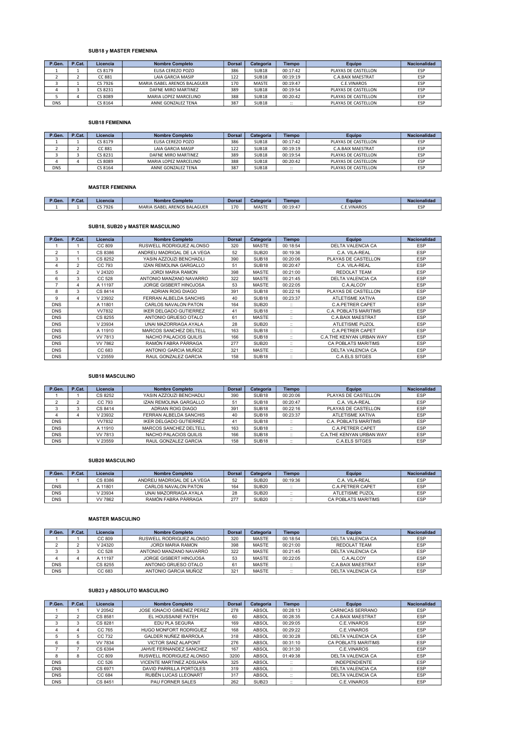## SUB18 y MASTER FEMENINA

| P.Gen.     | P.Cat. | Licencia | <b>Nombre Completo</b>       | <b>Dorsal</b> | Categoría         | <b>Tiempo</b>        | Equipo                   | <b>Nacionalidad</b> |
|------------|--------|----------|------------------------------|---------------|-------------------|----------------------|--------------------------|---------------------|
|            |        | CS 8179  | ELISA CEREZO POZO            | 386           | SUB <sub>18</sub> | 00:17:42             | PLAYAS DE CASTELLON      | ESP                 |
|            |        | CC 881   | <b>LAIA GARCIA MASIP</b>     | 122           | SUB <sub>18</sub> | 00:19:19             | <b>C.A.BAIX MAESTRAT</b> | ESP                 |
|            |        | CS 7926  | MARIA ISABEL ARENOS BALAGUER | 170           | <b>MASTE</b>      | 00:19:47             | C.E.VINAROS              | ESP                 |
|            |        | CS 8231  | DAFNE MIRO MARTINEZ          | 389           | SUB <sub>18</sub> | 00:19:54             | PLAYAS DE CASTELLON      | ESP                 |
|            |        | CS 8089  | MARIA LOPEZ MARCELINO        | 388           | SUB <sub>18</sub> | 00:20:42             | PLAYAS DE CASTELLON      | ESP                 |
| <b>DNS</b> |        | CS 8164  | ANNE GONZALEZ TENA           | 387           | <b>SUB18</b>      | $\cdots$<br>$\cdots$ | PLAYAS DE CASTELLON      | ESP                 |

#### SUB18 FEMENINA

| P.Gen.     | P.Cat. | Licencia | <b>Nombre Completo</b> | <b>Dorsal</b> | <b>Categoría</b>  | <b>Tiempo</b>       | Equipo                   | Nacionalidad |
|------------|--------|----------|------------------------|---------------|-------------------|---------------------|--------------------------|--------------|
|            |        | CS 8179  | FLISA CEREZO POZO      | 386           | SUB <sub>18</sub> | 00:17:42            | PLAYAS DE CASTELLON      | ESP          |
|            |        | CC 881   | LAIA GARCIA MASIP      | 122           | SUB <sub>18</sub> | 00:19:19            | <b>C.A.BAIX MAESTRAT</b> | ESP          |
|            |        | CS 8231  | DAFNE MIRO MARTINEZ    | 389           | SUB <sub>18</sub> | 00:19:54            | PLAYAS DE CASTELLON      | ESP          |
|            |        | CS 8089  | MARIA LOPEZ MARCELINO  | 388           | SUB <sub>18</sub> | 00:20:42            | PLAYAS DE CASTELLON      | ESP          |
| <b>DNS</b> |        | CS 8164  | ANNE GONZALEZ TENA     | 387           | SUB <sub>18</sub> | $\cdots$<br>$\cdot$ | PLAYAS DE CASTELLON      | ESP          |

## MASTER FEMENINA

| P.Gen. | D <sub>C</sub><br>'.Cat. | Licencia              | Completo<br>Nombre                                 | <b>Dorsal</b> | Categoría    | <b>Tiempo</b>       | Eauipo   | <b>Sonalida</b> |
|--------|--------------------------|-----------------------|----------------------------------------------------|---------------|--------------|---------------------|----------|-----------------|
|        |                          | $\sim$ $\sim$<br>7926 | <b>BALAGUER</b><br><b>ISABEL ARENOS</b><br>MARIA 1 | 170           | <b>MASTE</b> | 00.10.47<br>UU:19:4 | .VINAROS | - -<br>--       |

## SUB18, SUB20 y MASTER MASCULINO

| P.Gen.         | P.Cat.         | Licencia     | <b>Nombre Completo</b>        | <b>Dorsal</b> | Categoría         | <b>Tiempo</b>          | Equipo                     | <b>Nacionalidad</b> |
|----------------|----------------|--------------|-------------------------------|---------------|-------------------|------------------------|----------------------------|---------------------|
|                |                | CC 809       | RUSWELL RODRIGUEZ ALONSO      | 320           | <b>MASTE</b>      | 00:18:54               | DELTA VALENCIA CA          | <b>ESP</b>          |
| $\overline{2}$ |                | CS 8386      | ANDREU MADRIGAL DE LA VEGA    | 52            | SUB <sub>20</sub> | 00:19:36               | C.A. VILA-REAL             | <b>ESP</b>          |
| 3              |                | CS 8252      | YASIN AZZOUZI BENCHADLI       | 390           | SUB <sub>18</sub> | 00:20:06               | PLAYAS DE CASTELLON        | ESP                 |
| 4              | $\overline{2}$ | CC 793       | <b>IZAN REMOLINA GARGALLO</b> | 51            | SUB <sub>18</sub> | 00:20:47               | C.A. VILA-REAL             | <b>ESP</b>          |
| 5              | $\overline{2}$ | V 24320      | <b>JORDI MARIA RAMON</b>      | 398           | <b>MASTE</b>      | 00:21:00               | <b>REDOLAT TEAM</b>        | <b>ESP</b>          |
| 6              | 3              | CC 528       | ANTONIO MANZANO NAVARRO       | 322           | <b>MASTE</b>      | 00:21:45               | <b>DELTA VALENCIA CA</b>   | <b>ESP</b>          |
| 7              | 4              | A 11197      | <b>JORGE GISBERT HINOJOSA</b> | 53            | <b>MASTE</b>      | 00:22:05               | C.A.ALCOY                  | <b>ESP</b>          |
| 8              | 3              | CS 8414      | ADRIAN ROIG DIAGO             | 391           | SUB <sub>18</sub> | 00:22:16               | PLAYAS DE CASTELLON        | <b>ESP</b>          |
| 9              | 4              | V 23932      | FERRAN ALBELDA SANCHIS        | 40            | SUB <sub>18</sub> | 00:23:37               | <b>ATLETISME XATIVA</b>    | <b>ESP</b>          |
| <b>DNS</b>     |                | A 11801      | <b>CARLOS NAVALON PATON</b>   | 164           | SUB <sub>20</sub> | $\ddotsc$<br>$\cdot$ . | <b>C.A.PETRER CAPET</b>    | <b>ESP</b>          |
| <b>DNS</b>     |                | <b>W7832</b> | <b>IKER DELGADO GUTIERREZ</b> | 41            | SUB <sub>18</sub> | $\ddotsc$<br>$\ddotsc$ | C.A. POBLATS MARITIMS      | <b>ESP</b>          |
| <b>DNS</b>     |                | CS 8255      | ANTONIO GRUESO OTALO          | 61            | <b>MASTE</b>      | $\cdots$<br>$\ddotsc$  | <b>C.A.BAIX MAESTRAT</b>   | <b>ESP</b>          |
| <b>DNS</b>     |                | V 23934      | UNAI MAZORRIAGA AYALA         | 28            | SUB <sub>20</sub> | $\cdots$<br>$\ddotsc$  | <b>ATLETISME PUZOL</b>     | <b>ESP</b>          |
| <b>DNS</b>     |                | A 11910      | MARCOS SANCHEZ DELTELL        | 163           | SUB <sub>18</sub> | $\ddotsc$<br>$\ddotsc$ | <b>C.A.PETRER CAPET</b>    | <b>ESP</b>          |
| <b>DNS</b>     |                | VV 7813      | NACHO PALACIOS QUILIS         | 166           | SUB <sub>18</sub> | $\ddotsc$<br>$\ddotsc$ | C.A.THE KENYAN URBAN WAY   | <b>ESP</b>          |
| <b>DNS</b>     |                | VV 7862      | RAMÓN FABRA PÁRRAGA           | 277           | SUB <sub>20</sub> | $\ddotsc$<br>$\ddotsc$ | <b>CA POBLATS MARITIMS</b> | <b>ESP</b>          |
| <b>DNS</b>     |                | CC 683       | ANTONIO GARCIA MUÑOZ          | 321           | <b>MASTE</b>      | $\ddotsc$<br>$\cdots$  | <b>DELTA VALENCIA CA</b>   | <b>ESP</b>          |
| <b>DNS</b>     |                | V 23559      | RAUL GONZALEZ GARCIA          | 158           | SUB <sub>18</sub> | $\cdot$ .<br>$\cdots$  | <b>C.A.ELS SITGES</b>      | <b>ESP</b>          |

#### SUB18 MASCULINO

| P.Gen.     | P.Cat. | Licencia | <b>Nombre Completo</b>        | <b>Dorsal</b> | Categoría         | <b>Tiempo</b>         | Equipo                   | <b>Nacionalidad</b> |
|------------|--------|----------|-------------------------------|---------------|-------------------|-----------------------|--------------------------|---------------------|
|            |        | CS 8252  | YASIN AZZOUZI BENCHADLI       | 390           | SUB <sub>18</sub> | 00:20:06              | PLAYAS DE CASTELLON      | <b>ESP</b>          |
|            | $\sim$ | CC 793   | <b>IZAN REMOLINA GARGALLO</b> | 51            | SUB <sub>18</sub> | 00:20:47              | C.A. VILA-REAL           | <b>ESP</b>          |
|            | $\sim$ | CS 8414  | ADRIAN ROIG DIAGO             | 391           | SUB <sub>18</sub> | 00:22:16              | PLAYAS DE CASTELLON      | <b>ESP</b>          |
|            |        | V 23932  | FERRAN ALBELDA SANCHIS        | 40            | SUB <sub>18</sub> | 00:23:37              | <b>ATLETISME XATIVA</b>  | ESP                 |
| <b>DNS</b> |        | VV7832   | <b>IKER DELGADO GUTIERREZ</b> | 4             | SUB <sub>18</sub> | $\ddotsc$<br>$\cdots$ | C.A. POBLATS MARITIMS    | <b>ESP</b>          |
| <b>DNS</b> |        | A 11910  | MARCOS SANCHEZ DELTELL        | 163           | SUB <sub>18</sub> | $\cdot$ .<br>$\cdots$ | <b>C.A.PETRER CAPET</b>  | <b>ESP</b>          |
| <b>DNS</b> |        | VV 7813  | NACHO PALACIOS QUILIS         | 166           | SUB <sub>18</sub> | $\cdot$ .<br>$\cdots$ | C.A.THE KENYAN URBAN WAY | <b>ESP</b>          |
| <b>DNS</b> |        | V 23559  | RAUL GONZALEZ GARCIA          | 158           | SUB <sub>18</sub> | $\ddotsc$<br>$\cdots$ | <b>C.A.ELS SITGES</b>    | <b>ESP</b>          |

#### SUB20 MASCULINO

| P.Gen.     | P.Cat. | Licencia | Nombre Completo            | <b>Dorsal</b> | Categoría         | <b>Tiempo</b> | <b>Equipo</b>       | Nacionalidad |
|------------|--------|----------|----------------------------|---------------|-------------------|---------------|---------------------|--------------|
|            |        | CS 8386  | ANDREU MADRIGAL DE LA VEGA | 52            | SUB <sub>20</sub> | 00:19:36      | C.A. VILA-REAL      | <b>ESP</b>   |
| <b>DNS</b> |        | A 11801  | CARLOS NAVALON PATON       | 164           | SUB <sub>20</sub> | <br>$\cdots$  | C.A. PETRER CAPET   | ESP          |
| <b>DNS</b> |        | /23934   | UNAI MAZORRIAGA AYALA      | 28            | <b>SUB20</b>      | $\cdot$ .     | ATLETISME PUZOL     | ESP          |
| <b>DNS</b> |        | VV 7862  | RAMÓN FABRA PÁRRAGA        | 277           | <b>SUB20</b>      | $\cdot$<br>   | CA POBLATS MARITIMS | ESP          |

#### MASTER MASCULINO

| P.Gen.     | P.Cat. | Licencia | <b>Nombre Completo</b>   | <b>Dorsal</b> | Categoría    | <b>Tiempo</b>        | <b>Equipo</b>     | Nacionalidad |
|------------|--------|----------|--------------------------|---------------|--------------|----------------------|-------------------|--------------|
|            |        | CC 809   | RUSWELL RODRIGUEZ ALONSO | 320           | <b>MASTE</b> | 00:18:54             | DELTA VALENCIA CA | <b>ESP</b>   |
|            |        | V 24320  | JORDI MARIA RAMON        | 398           | <b>MASTE</b> | 00:21:00             | REDOLAT TEAM      | <b>ESP</b>   |
|            |        | CC 528   | ANTONIO MANZANO NAVARRO  | 322           | <b>MASTE</b> | 00:21:45             | DELTA VALENCIA CA | <b>ESP</b>   |
|            |        | A 11197  | JORGE GISBERT HINOJOSA   | 53            | <b>MASTE</b> | 00:22:05             | C.A.ALCOY         | <b>ESP</b>   |
| <b>DNS</b> |        | CS 8255  | ANTONIO GRUESO OTALO     | 61            | <b>MASTE</b> | $\cdots$<br>$\cdots$ | C.A.BAIX MAESTRAT | <b>FSP</b>   |
| <b>DNS</b> |        | CC 683   | ANTONIO GARCIA MUÑOZ     | 321           | <b>MASTE</b> | $\cdots$<br>$\cdots$ | DELTA VALENCIA CA | <b>ESP</b>   |

## SUB23 y ABSOLUTO MASCULINO

| P.Gen.         | P.Cat. | Licencia       | <b>Nombre Completo</b>       | <b>Dorsal</b> | Categoría         | <b>Tiempo</b>          | Equipo                     | Nacionalidad |
|----------------|--------|----------------|------------------------------|---------------|-------------------|------------------------|----------------------------|--------------|
|                |        | V 20542        | JOSE IGNACIO GIMENEZ PEREZ   | 278           | <b>ABSOL</b>      | 00:28:13               | <b>CARNICAS SERRANO</b>    | <b>ESP</b>   |
| $\mathfrak{p}$ | 2      | CS 8581        | EL HOUSSAINE FATEH           | 60            | <b>ABSOL</b>      | 00:28:35               | <b>C.A.BAIX MAESTRAT</b>   | <b>ESP</b>   |
| 3              | 3      | CS 8281        | <b>FDU PLA SEGURA</b>        | 169           | <b>ABSOL</b>      | 00:29:05               | C.E.VINAROS                | <b>ESP</b>   |
| 4              | 4      | CC 765         | HUGO MONFORT RODRIGUEZ       | 168           | <b>ABSOL</b>      | 00:29:22               | C.E.VINAROS                | <b>ESP</b>   |
| 5              | 5      | CC 732         | <b>GALDER NUÑEZ IBARROLA</b> | 318           | <b>ABSOL</b>      | 00:30:28               | <b>DELTA VALENCIA CA</b>   | <b>ESP</b>   |
| 6              | 6      | <b>VV 7834</b> | <b>VICTOR SANZ ALAPONT</b>   | 276           | <b>ABSOL</b>      | 00:31:10               | <b>CA POBLATS MARITIMS</b> | <b>ESP</b>   |
|                |        | CS 6394        | JAHVE FERNANDEZ SANCHEZ      | 167           | <b>ABSOL</b>      | 00:31:30               | C.E.VINAROS                | <b>ESP</b>   |
| 8              | 8      | CC 809         | RUSWELL RODRIGUEZ ALONSO     | 3200          | <b>ABSOL</b>      | 01:49:38               | DELTA VALENCIA CA          | <b>ESP</b>   |
| <b>DNS</b>     |        | CC 526         | VICENTE MARTINEZ ADSUARA     | 325           | <b>ABSOL</b>      | $\ddotsc$<br>$\cdot$ . | <b>INDEPENDIENTE</b>       | <b>ESP</b>   |
| <b>DNS</b>     |        | CS 6971        | DAVID PARRILLA PORTOLES      | 319           | <b>ABSOL</b>      | $\ddotsc$<br>$\cdot$ . | DELTA VALENCIA CA          | <b>ESP</b>   |
| <b>DNS</b>     |        | CC 684         | RUBÉN LUCAS LLEONART         | 317           | <b>ABSOL</b>      | <br>$\cdot$ .          | <b>DELTA VALENCIA CA</b>   | <b>ESP</b>   |
| <b>DNS</b>     |        | CS 8451        | PAU FORNER SALES             | 262           | SUB <sub>23</sub> | $\ddotsc$<br>$\cdots$  | C.E.VINAROS                | <b>ESP</b>   |